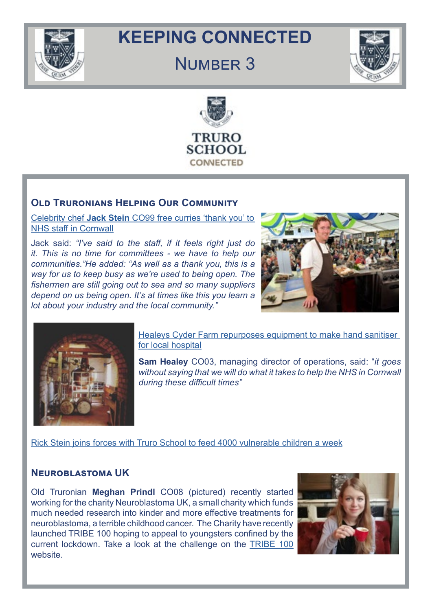

# **KEEPING CONNECTED**

# NUMBER 3





# **Old Truronians Helping Our Communit[y](We are delighted to say that Old Truronians are welcome to join the Quarantine House Contest:   )**

Celebrity chef **Jack Stein** [CO99 free curries 'thank you' to](https://www.cornwalllive.com/whats-on/food-drink/celebrity-chef-jack-steins-free-4023446)  [NHS staff in Cornwall](https://www.cornwalllive.com/whats-on/food-drink/celebrity-chef-jack-steins-free-4023446)

[Jack said:](Jack said: ) *["I've said to the staff, if it feels right just do](http://“I’ve said to the staff, if it feels right jut do it. This is no time for committees - we have to h) [it. This is no time for committees - we have to help our](http://“I’ve said to the staff, if it feels right jut do it. This is no time for committees - we have to h) [communities."He added: "As well as a thank you, this is a](http://“I’ve said to the staff, if it feels right jut do it. This is no time for committees - we have to h) [way for us to keep busy as we're used to being open. The](http://“I’ve said to the staff, if it feels right jut do it. This is no time for committees - we have to h) [fishermen are still going out to sea and so many suppliers](http://“I’ve said to the staff, if it feels right jut do it. This is no time for committees - we have to h) [depend on us being open. It's at times like this you learn a](http://“I’ve said to the staff, if it feels right jut do it. This is no time for committees - we have to h) [lot about your industry and the local community."](http://“I’ve said to the staff, if it feels right jut do it. This is no time for committees - we have to h)*





Healeys Cyder Farm repurposes equipment to make hand sanitiser [for local hospital](https://www.somersetcountygazette.co.uk/farmer/18333618.healeys-cyder-farm-repurposes-equipment-make-hand-sanitiser-local-hospital/)

**[Sam Healey](http://Sam Healey CO03)** CO03, managing director of operations, said: "*it goes without saying that we will do what it takes to help the NHS in Cornwall during these difficult times"*

[Rick Stein joins forces with Truro School to feed 4000 vulnerable children a week](https://www.cornwalllive.com/news/cornwall-news/rick-stein-joins-forces-truro-4024073)

# **Neuroblastoma UK**

Old Truronian **Meghan Prindl** CO08 (pictured) recently started working for the charity Neuroblastoma UK, a small charity which funds much needed research into kinder and more effective treatments for neuroblastoma, a terrible childhood cancer. The Charity have recently launched TRIBE 100 hoping to appeal to youngsters confined by the current lockdown. Take a look at the challenge on the [TRIBE 100](https://www.neuroblastoma.org.uk/tribe100) website.

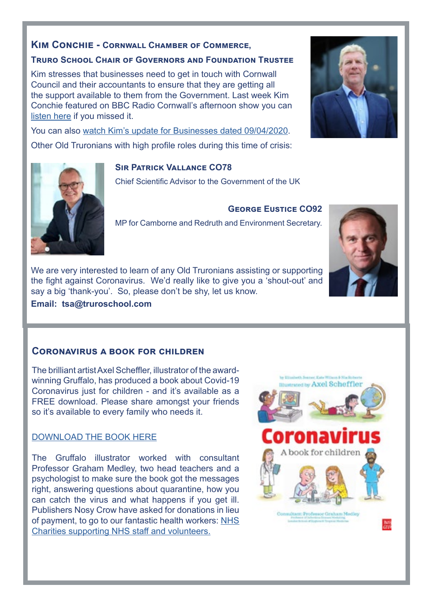# **Kim Conchie - Cornwall Chamber of Commerce,**

#### **Truro School Chair of Governors and Foundation Trustee**

Kim stresses that businesses need to get in touch with Cornwall Council and their accountants to ensure that they are getting all the support available to them from the Government. Last week Kim Conchie featured on BBC Radio Cornwall's afternoon show you can [listen here](https://www.bbc.co.uk/sounds/play/p087rf2v?utm_source=Chambermaster+sync&utm_campaign=0a5123bb80-EMAIL_CAMPAIGN_2019_04_17_09_35_COPY_01&utm_medium=email&utm_term=0_38d198778c-0a5123bb80-279846977) if you missed it.

You can also [watch Kim's update for Businesses dated 09/04/2020.](https://www.youtube.com/watch?v=fMO7rGyHiQw&feature=youtu.be&utm_source=Chambermaster+sync&utm_campaign=0a5123bb80-EMAIL_CAMPAIGN_2019_04_17_09_35_COPY_01&utm_medium=email&utm_term=0_38d198778c-0a5123bb80-279846977) Other Old Truronians with high profile roles during this time of crisis:

## **Sir Patrick Vallance CO78**

Chief Scientific Advisor to the Government of the UK

MP for Camborne and Redruth and Environment Secretary.

We are very interested to learn of any Old Truronians assisting or supporting the fight against Coronavirus. We'd really like to give you a 'shout-out' and say a big 'thank-you'. So, please don't be shy, let us know.

**Email: tsa@truroschool.com**

# **Coronavirus a book for children**

The brilliant artist Axel Scheffler, illustrator of the awardwinning Gruffalo, has produced a book about Covid-19 Coronavirus just for children - and it's available as a FREE download. Please share amongst your friends so it's available to every family who needs it.

# [DOWNLOAD THE BOOK HERE](https://nosycrowcoronavirus.s3-eu-west-1.amazonaws.com/Coronavirus-ABookForChildren.pdf)

The Gruffalo illustrator worked with consultant Professor Graham Medley, two head teachers and a psychologist to make sure the book got the messages right, answering questions about quarantine, how you can catch the virus and what happens if you get ill. Publishers Nosy Crow have asked for donations in lieu of payment, to go to our fantastic health workers: [NHS](http://www.nhscharitiestogether.co.uk/ 
)  [Charities supporting NHS staff and volunteers.](http://www.nhscharitiestogether.co.uk/ 
)







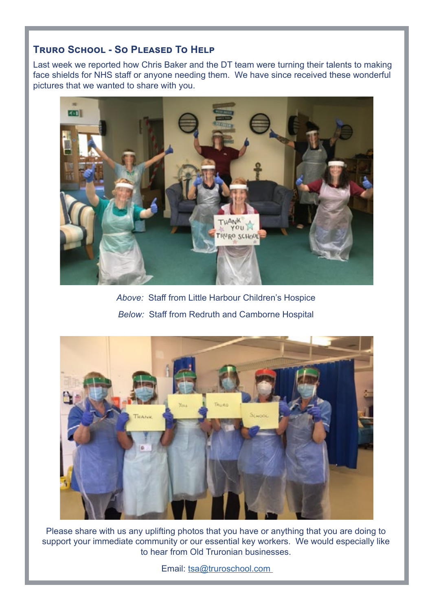# **Truro School - So Pleased To Help**

Last week we reported how Chris Baker and the DT team were turning their talents to making face shields for NHS staff or anyone needing them. We have since received these wonderful pictures that we wanted to share with you.



*Above:* Staff from Little Harbour Children's Hospice *Below:* Staff from Redruth and Camborne Hospital



Please share with us any uplifting photos that you have or anything that you are doing to support your immediate community or our essential key workers. We would especially like to hear from Old Truronian businesses.

Email: tsa@truroschool.com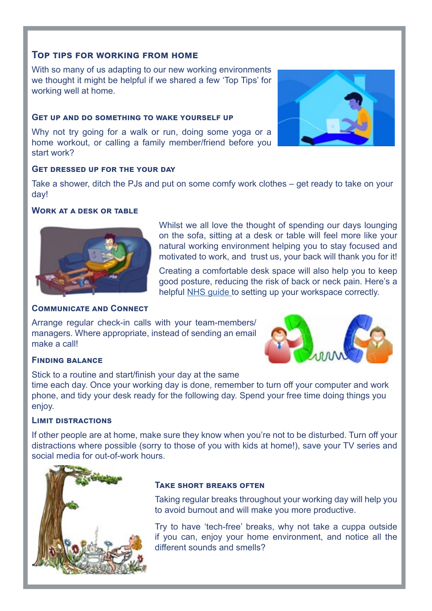### **Top tips for working from home**

With so many of us adapting to our new working environments we thought it might be helpful if we shared a few 'Top Tips' for working well at home.

#### **Get up and do something to wake yourself up**

Why not try going for a walk or run, doing some yoga or a home workout, or calling a family member/friend before you start work?



#### **Get dressed up for the your day**

Take a shower, ditch the PJs and put on some comfy work clothes – get ready to take on your day!

#### **Work at a desk or table**



#### **Communicate and Connect**

Arrange regular check-in calls with your team-members/ managers. Where appropriate, instead of sending an email make a call!



#### **Finding balance**

Stick to a routine and start/finish your day at the same time each day. Once your working day is done, remember to turn off your computer and work phone, and tidy your desk ready for the following day. Spend your free time doing things you enjoy.

#### **Limit distractions**

If other people are at home, make sure they know when you're not to be disturbed. Turn off your distractions where possible (sorry to those of you with kids at home!), save your TV series and social media for out-of-work hours.



#### **Take short breaks often**

Taking regular breaks throughout your working day will help you to avoid burnout and will make you more productive.

Whilst we all love the thought of spending our days lounging on the sofa, sitting at a desk or table will feel more like your natural working environment helping you to stay focused and motivated to work, and trust us, your back will thank you for it!

Creating a comfortable desk space will also help you to keep good posture, reducing the risk of back or neck pain. Here's a helpful [NHS guide](https://www.nhs.uk/live-well/healthy-body/how-to-sit-correctly/) to setting up your workspace correctly.

Try to have 'tech-free' breaks, why not take a cuppa outside if you can, enjoy your home environment, and notice all the different sounds and smells?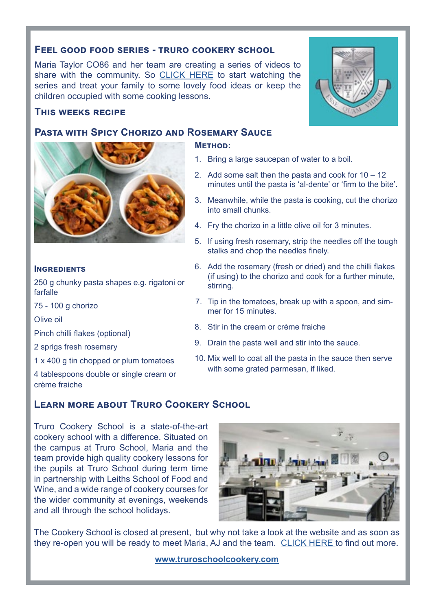#### **Feel good food series - truro cookery school**

Maria Taylor CO86 and her team are creating a series of videos to share with the community. So [CLICK HERE](https://www.facebook.com/pg/truroschoolcookery/videos/?ref=page_internal) to start watching the series and treat your family to some lovely food ideas or keep the children occupied with some cooking lessons.

#### **This weeks recipe**

### **Pasta with Spicy Chorizo and Rosemary Sauce**

**Method:**

- 1. Bring a large saucepan of water to a boil.
- 2. Add some salt then the pasta and cook for  $10 12$ minutes until the pasta is 'al-dente' or 'firm to the bite'.
- 3. Meanwhile, while the pasta is cooking, cut the chorizo into small chunks.
- 4. Fry the chorizo in a little olive oil for 3 minutes.
- 5. If using fresh rosemary, strip the needles off the tough stalks and chop the needles finely.
- 6. Add the rosemary (fresh or dried) and the chilli flakes (if using) to the chorizo and cook for a further minute, stirring.
- 7. Tip in the tomatoes, break up with a spoon, and simmer for 15 minutes.
- 8. Stir in the cream or crème fraiche
- 9. Drain the pasta well and stir into the sauce.
- 10. Mix well to coat all the pasta in the sauce then serve with some grated parmesan, if liked.

# **Learn more about Truro Cookery School**

Truro Cookery School is a state-of-the-art cookery school with a difference. Situated on the campus at Truro School, Maria and the team provide high quality cookery lessons for the pupils at Truro School during term time in partnership with Leiths School of Food and Wine, and a wide range of cookery courses for the wider community at evenings, weekends and all through the school holidays.

The Cookery School is closed at present, but why not take a look at the website and as soon as they re-open you will be ready to meet Maria, AJ and the team. [CLICK HERE t](https://truroschoolcookery.com/)o find out more.

**[www.truroschoolcookery.com](http://www.truroschoolcookery.com)**







#### **INGREDIENTS**

250 g chunky pasta shapes e.g. rigatoni or farfalle

75 - 100 g chorizo

Olive oil

Pinch chilli flakes (optional)

2 sprigs fresh rosemary

1 x 400 g tin chopped or plum tomatoes

4 tablespoons double or single cream or crème fraiche